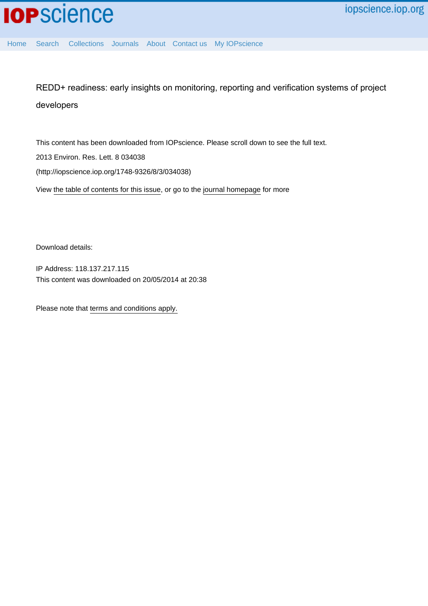[Home](http://iopscience.iop.org/) [Search](http://iopscience.iop.org/search) [Collections](http://iopscience.iop.org/collections) [Journals](http://iopscience.iop.org/journals) [About](http://iopscience.iop.org/page/aboutioppublishing) [Contact us](http://iopscience.iop.org/contact) [My IOPscience](http://iopscience.iop.org/myiopscience)

REDD+ readiness: early insights on monitoring, reporting and verification systems of project developers

This content has been downloaded from IOPscience. Please scroll down to see the full text. View [the table of contents for this issue](http://iopscience.iop.org/1748-9326/8/3), or go to the [journal homepage](http://iopscience.iop.org/1748-9326) for more 2013 Environ. Res. Lett. 8 034038 (http://iopscience.iop.org/1748-9326/8/3/034038)

Download details:

IP Address: 118.137.217.115 This content was downloaded on 20/05/2014 at 20:38

Please note that [terms and conditions apply.](iopscience.iop.org/page/terms)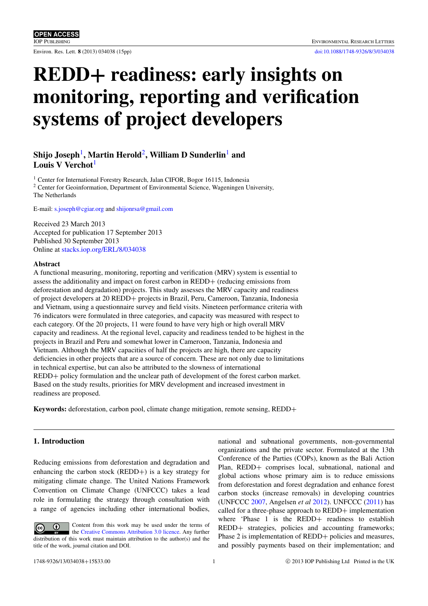each category. Of the 20 projects, 11 were found to have very high or high overall MRV projects in Brazil and Peru and somewhat lower in Cameroon, Tanzania, Indonesia and Vietnam. Although the MRV capacities of half the projects are high, there are capacity in technical expertise, but can also be attributed to the slowness of international REDD+ policy formulation and the unclear path of development of the forest carbon market. Based on the study results, priorities for MRV development and increased investment in readiness are proposed.

Keywords: deforestation, carbon pool, climate change mitigation, remote sensing, REDD+

# 1. Introduction

Reducing emissions from deforestation and degradation and enhancing the carbon stock (REDD+) is a key strategy for mitigating climate change. The United Nations Framework Convention on Climate Change (UNFCCC) takes a lead role in formulating the strategy through consultation with a range of agencies including other international bodies,

Content from this work may be used under the terms of  $\left( \mathrm{cc} \right)$ the [Creative Commons Attribution 3.0 licence.](http://creativecommons.org/licenses/by/3.0) Any further distribution of this work must maintain attribution to the author(s) and the title of the work, journal citation and DOI.

national and subnational governments, non-governmental organizations and the private sector. Formulated at the 13th Conference of the Parties (COPs), known as the Bali Action Plan, REDD+ comprises local, subnational, national and global actions whose primary aim is to reduce emissions from deforestation and forest degradation and enhance forest carbon stocks (increase removals) in developing countries (UNFCCC [2007,](#page-15-0) Angelsen *et al* [2012\)](#page-14-0). UNFCCC [\(2011\)](#page-15-1) has called for a three-phase approach to REDD+ implementation where 'Phase 1 is the REDD+ readiness to establish REDD+ strategies, policies and accounting frameworks; Phase 2 is implementation of REDD+ policies and measures, and possibly payments based on their implementation; and

# Shijo Joseph $^1$  $^1$ , Martin Herold $^2$  $^2$ , William D Sunderlin $^1$  and Louis V Verchot<sup>[1](#page-1-0)</sup>

<span id="page-1-1"></span><span id="page-1-0"></span><sup>1</sup> Center for International Forestry Research, Jalan CIFOR, Bogor 16115, Indonesia <sup>2</sup> Center for Geoinformation, Department of Environmental Science, Wageningen University, The Netherlands

E-mail: [s.joseph@cgiar.org](mailto:s.joseph@cgiar.org) and [shijonrsa@gmail.com](mailto:shijonrsa@gmail.com)

Published 30 September 2013

#### Abstract

A functional measuring, monitoring, reporting and verification (MRV) system is essential to assess the additionality and impact on forest carbon in REDD+ (reducing emissions from deforestation and degradation) projects. This study assesses the MRV capacity and readiness of project developers at 20 REDD+ projects in Brazil, Peru, Cameroon, Tanzania, Indonesia and Vietnam, using a questionnaire survey and field visits. Nineteen performance criteria with 76 indicators were formulated in three categories, and capacity was measured with respect to capacity and readiness. At the regional level, capacity and readiness tended to be highest in the deficiencies in other projects that are a source of concern. These are not only due to limitations

Received 23 March 2013 Accepted for publication 17 September 2013

Online at [stacks.iop.org/ERL/8/034038](http://stacks.iop.org/ERL/8/034038)

# REDD+ readiness: early insights on monitoring, reporting and verification systems of project developers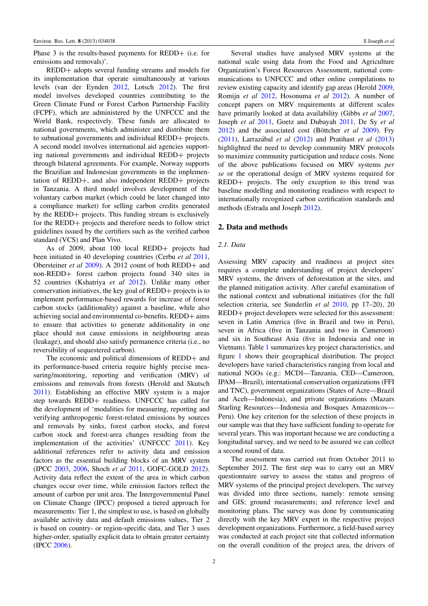Phase 3 is the results-based payments for REDD+ (i.e. for emissions and removals)'.

REDD+ adopts several funding streams and models for its implementation that operate simultaneously at various levels (van der Eynden [2012,](#page-15-2) Lotsch [2012\)](#page-14-1). The first model involves developed countries contributing to the Green Climate Fund or Forest Carbon Partnership Facility (FCPF), which are administered by the UNFCCC and the World Bank, respectively. These funds are allocated to national governments, which administer and distribute them to subnational governments and individual REDD+ projects. A second model involves international aid agencies supporting national governments and individual REDD+ projects through bilateral agreements. For example, Norway supports the Brazilian and Indonesian governments in the implementation of REDD+, and also independent REDD+ projects in Tanzania. A third model involves development of the voluntary carbon market (which could be later changed into a compliance market) for selling carbon credits generated by the REDD+ projects. This funding stream is exclusively for the REDD+ projects and therefore needs to follow strict guidelines issued by the certifiers such as the verified carbon standard (VCS) and Plan Vivo.

As of 2009, about 100 local REDD+ projects had been initiated in 40 developing countries (Cerbu *et al* [2011,](#page-14-2) Obersteiner *et al* [2009\)](#page-15-3). A 2012 count of both REDD+ and non-REDD+ forest carbon projects found 340 sites in 52 countries (Kshatriya *et al* [2012\)](#page-14-3). Unlike many other conservation initiatives, the key goal of REDD+ projects is to implement performance-based rewards for increase of forest carbon stocks (additionality) against a baseline, while also achieving social and environmental co-benefits. REDD+ aims to ensure that activities to generate additionality in one place should not cause emissions in neighbouring areas (leakage), and should also satisfy permanence criteria (i.e., no reversibility of sequestered carbon).

The economic and political dimensions of REDD+ and its performance-based criteria require highly precise measuring/monitoring, reporting and verification (MRV) of emissions and removals from forests (Herold and Skutsch [2011\)](#page-14-4). Establishing an effective MRV system is a major step towards REDD+ readiness. UNFCCC has called for the development of 'modalities for measuring, reporting and verifying anthropogenic forest-related emissions by sources and removals by sinks, forest carbon stocks, and forest carbon stock and forest-area changes resulting from the implementation of the activities' (UNFCCC [2011\)](#page-15-1). Key additional references refer to activity data and emission factors as the essential building blocks of an MRV system (IPCC [2003,](#page-14-5) [2006,](#page-14-6) Shoch *et al* [2011,](#page-15-4) GOFC-GOLD [2012\)](#page-14-7). Activity data reflect the extent of the area in which carbon changes occur over time, while emission factors reflect the amount of carbon per unit area. The Intergovernmental Panel on Climate Change (IPCC) proposed a tiered approach for measurements: Tier 1, the simplest to use, is based on globally available activity data and default emissions values, Tier 2 is based on country- or region-specific data, and Tier 3 uses higher-order, spatially explicit data to obtain greater certainty (IPCC [2006\)](#page-14-6).

Several studies have analysed MRV systems at the national scale using data from the Food and Agriculture Organization's Forest Resources Assessment, national communications to UNFCCC and other online compilations to review existing capacity and identify gap areas (Herold [2009,](#page-14-8) Romijn *et al* [2012,](#page-15-5) Hosonuma *et al* [2012\)](#page-14-9). A number of concept papers on MRV requirements at different scales have primarily looked at data availability (Gibbs *et al* [2007,](#page-14-10) Joseph *et al* [2011,](#page-14-11) Goetz and Dubayah [2011,](#page-14-12) De Sy *et al* [2012\)](#page-14-13) and the associated cost (Böttcher *et al* [2009\)](#page-14-14). Fry [\(2011\)](#page-14-15), Larrazábal *et al* [\(2012\)](#page-14-16) and Pratihast *et al* [\(2013\)](#page-15-6) highlighted the need to develop community MRV protocols to maximize community participation and reduce costs. None of the above publications focused on MRV systems *per se* or the operational design of MRV systems required for REDD+ projects. The only exception to this trend was baseline modelling and monitoring readiness with respect to internationally recognized carbon certification standards and methods (Estrada and Joseph [2012\)](#page-14-17).

# 2. Data and methods

#### *2.1. Data*

Assessing MRV capacity and readiness at project sites requires a complete understanding of project developers' MRV systems, the drivers of deforestation at the sites, and the planned mitigation activity. After careful examination of the national context and subnational initiatives (for the full selection criteria, see Sunderlin *et al* [2010,](#page-15-7) pp 17–20), 20 REDD+ project developers were selected for this assessment: seven in Latin America (five in Brazil and two in Peru), seven in Africa (five in Tanzania and two in Cameroon) and six in Southeast Asia (five in Indonesia and one in Vietnam). Table [1](#page-3-0) summarizes key project characteristics, and figure [1](#page-5-0) shows their geographical distribution. The project developers have varied characteristics ranging from local and national NGOs (e.g.: MCDI—Tanzania, CED—Cameroon, IPAM—Brazil), international conservation organizations (FFI and TNC), government organizations (States of Acre—Brazil and Aceh—Indonesia), and private organizations (Mazars Starling Resources—Indonesia and Bosques Amazonicos— Peru). One key criterion for the selection of these projects in our sample was that they have sufficient funding to operate for several years. This was important because we are conducting a longitudinal survey, and we need to be assured we can collect a second round of data.

The assessment was carried out from October 2011 to September 2012. The first step was to carry out an MRV questionnaire survey to assess the status and progress of MRV systems of the principal project developers. The survey was divided into three sections, namely: remote sensing and GIS; ground measurements; and reference level and monitoring plans. The survey was done by communicating directly with the key MRV expert in the respective project development organizations. Furthermore, a field-based survey was conducted at each project site that collected information on the overall condition of the project area, the drivers of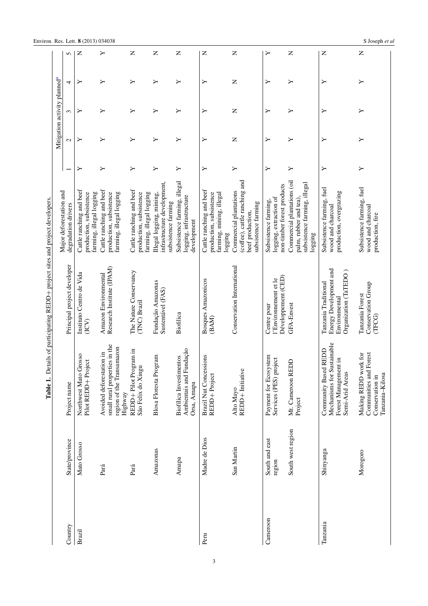<span id="page-3-0"></span>

|          |                          |                                                                                                   | Table 1. Details of participating REDD+ project sites and project developers            |                                                                                                    |                          |   |                                          |   |   |
|----------|--------------------------|---------------------------------------------------------------------------------------------------|-----------------------------------------------------------------------------------------|----------------------------------------------------------------------------------------------------|--------------------------|---|------------------------------------------|---|---|
|          |                          |                                                                                                   |                                                                                         | Major deforestation and                                                                            |                          |   | Mitigation activity planned <sup>a</sup> |   |   |
| Country  | State/province           | Project name                                                                                      | Principal project developer                                                             | degradation drivers                                                                                | $\overline{\phantom{0}}$ | 2 | 3                                        | 4 | 5 |
| Brazil   | Mato Grosso              | Northwest Mato Grosso<br>Pilot REDD+ Project                                                      | Instituto Centro de Vida<br>(ICV)                                                       | Cattle ranching and beef<br>farming, illegal logging<br>production, subsistence                    | ≻                        | ≻ | ≻                                        | ≻ | z |
|          | Pará                     | small rural properties in the<br>region of the Transamazon<br>Avoided deforestation in<br>Highway | Research Institute (IPAM)<br>Amazon Environmental                                       | Cattle ranching and beef<br>production, subsistence<br>farming, illegal logging                    | ≻                        | ≻ | ≻                                        | ≻ | ≻ |
|          | Pará                     | REDD+ Pilot Program in<br>São Felix do Xingu                                                      | The Nature Conservancy<br>(TNC) Brazil                                                  | Cattle ranching and beef<br>farming, illegal logging<br>production, subsistence                    | ≻                        | ≻ | ≻                                        | ≻ | z |
|          | Amazonas                 | gram<br>Blosa Floresta Pro                                                                        | Fundação Amazonas<br>Sustentável (FAS)                                                  | infrastructure development,<br>Illegal logging, mining,<br>subsistence farming                     | ≻                        | ≻ | ≻                                        | ≻ | Z |
|          | Amapa                    | Ambientais and Fundação<br><b>Biofílica</b> Investimentos<br>Orsa, Amapa                          | Biofilica                                                                               | Subsistence farming, illegal<br>logging, infrastructure<br>development                             | ≻                        | ≻ | ≻                                        | ≻ | Z |
| Peru     | Madre de Dios            | sions<br><b>Brazil Nut Conces</b><br>REDD+Project                                                 | <b>Bosques Amazonicos</b><br>(BAM)                                                      | Cattle ranching and beef<br>production, subsistence<br>farming, mining, illegal<br>logging         | ≻                        | ≻ | ≻                                        | ≻ | z |
|          | San Martin               | REDD+ Initiative<br>Alto Mayo                                                                     | Conservation International                                                              | (coffee), cattle ranching and<br>Commercial plantations<br>subsistence farming<br>beef production, | ≻                        | Z | Z                                        | Z | Z |
| Cameroon | South and east<br>region | ystem<br>Services (PES) project<br>Payment for Ecosy                                              | Développement (CED)<br>l'Environnement et le<br>Centre pour                             | non-timber forest products<br>logging, extraction of<br>Subsistence farming,                       | ≻                        | ≻ | ≻                                        | ≻ | ≻ |
|          | South west region        | <b>A</b><br>Mt. Cameroon RE<br>Project                                                            | GFA-Envest                                                                              | Commercial plantations (oil<br>subsistence farming, illegal<br>palm, rubber and tea)<br>ogging     | ≻                        | ≻ | ≻                                        | ≻ | Z |
| Tanzania | Shinyanga                | Mechanisms for Sustainable<br>Community Based REDD<br>Forest Management in<br>Semi-Arid Areas     | Energy Development and<br>Organization (TaTEDO<br>Tanzania Traditional<br>Environmental | Subsistence farming, fuel<br>production, overgrazing<br>wood and charcoal                          | ≻                        | ≻ | ≻                                        | ≻ | z |
|          | Morogoro                 | Making REDD work for<br>Forest<br>Communities and<br>Tanzania-Kilosa<br>Conservation in           | Conservation Group<br>Tanzania Forest<br>(TFCG)                                         | Subsistence farming, fuel<br>wood and charcoal<br>production, fire                                 | ≻                        | ≻ | ≻                                        | ≻ | Z |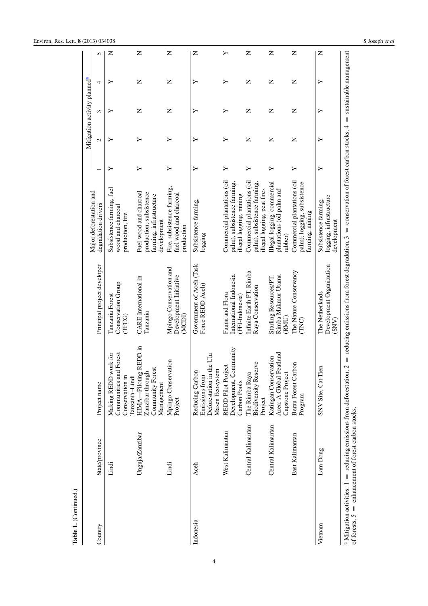| Table 1. (Continued.) |                 |                                                                                 |                                                             |                                                                                   |   |                                          |   |   |
|-----------------------|-----------------|---------------------------------------------------------------------------------|-------------------------------------------------------------|-----------------------------------------------------------------------------------|---|------------------------------------------|---|---|
|                       |                 |                                                                                 |                                                             | Major deforestation and                                                           |   | Mitigation activity planned <sup>a</sup> |   |   |
| Country               | State/province  | Project name                                                                    | Principal project developer                                 | degradation drivers                                                               | 2 | 3                                        |   |   |
|                       | Lindi           | work for<br>Communities and Forest<br>Conservation in<br>Making REDD            | Conservation Group<br>Tanzania Forest<br>(TFCG)             | Subsistence farming, fuel<br>wood and charcoal<br>production, fire                |   |                                          |   | Z |
|                       | Unguja/Zanzibar | HIMA—Piloting REDD in<br>Zanzibar through<br>Community Forest<br>Tanzania-Lindi | <b>CARE</b> International in<br>Tanzania                    | Fuel wood and charcoal<br>production, subsistence<br>farming, infrastructure      |   | Z                                        | z | z |
|                       | Lindi           | vation<br>Mpingo Conser<br>Management<br>Project                                | Mpingo Conservation and<br>Development Initiative<br>(MCDI) | Fire, subsistence farming,<br>fuel wood and charcoal<br>development<br>production |   | Z                                        |   | z |
| indonesia             | Aceh            | h the Ulu<br>Reducing Carbon<br>Emissions from<br>Deforestation in              | Government of Aceh (Task<br>Force REDD Aceh)                | Subsistence farming,<br>logging                                                   |   |                                          |   | z |

 $\overline{z}$ 

 $\overline{z}$ 

νr

 $\overline{z}$ 

 $\overline{z}$ 

<sup>a</sup> Mitigation activities: 1 = reducing emissions from deforestation, 2 = reducing emissions from forest degradation, 3 = conservation of forest carbon stocks,  $4 =$  sustainable management <sup>a</sup> Mitigation activities: 1 = reducing emissions from deforestation, 2 = reducing emissions from forest degradation, 3 = conservation of forest carbon stocks, 4 = sustainable management expression of the sustainable mana of forests,  $5 =$  enhancement of forest carbon stocks. of forests,  $5 =$  enhancement of forest carbon stocks.

Development Organization The Netherlands<br>Development Organization<br>(SNV)

Deforestation in the Ulu Masen Ecosystem

Masen Ecosystem

West Kalimantan REDD Pilot Project

West Kalimantan

REDD Pilot Project

Development, Community

Development, Community

Fauna and Flora International Indonesia (FFI-Indonesia)

Fauna and Flora (FFI-Indonesia)

International Indonesia

Commercial plantations (oil palm), subsistence farming, illegal logging, mining

Commercial plantations (oil palm), subsistence farming,

Y Y Y Y Y

 $\triangleright$ 

 $\overline{\mathbf{y}}$ 

 $\overline{\phantom{a}}$ 

 $\mathbf{\Sigma}$ 

 $\rightarrow$ 

Carbon Pools<br>The Rimba Raya

Infinite Earth PT. Rimba Raya Conservation

Raya Conservation

nfinite Earth PT. Rimba

Starling Resources/PT. Rimba Makmur Utama

Rimba Makmur Utama Starling Resources/PT.

Illegal logging, commercial plantations (oil palm and Illegal logging, commercial<br>plantations (oil palm and<br>rubber)

Z N N N N

 $\mathsf{z}$ 

 $\overline{z}$ 

 $\overline{Y}$ 

 $\overline{z}$ 

 $\overline{z}$ 

(RMU)

The Nature Conservancy The Nature Conservancy<br>(TNC)

Commercial plantations (oil palm), logging, subsistence

Commercial plantations (oil<br>palm), logging, subsistence

Z N N N N

 $\mathsf{z}$ 

 $\overline{z}$ 

 $\overline{Y}$ 

<span id="page-4-0"></span> $\overline{z}$ 

 $\overline{z}$ 

farming, mining

arming, mining

Subsistence farming, logging, infrastructure development

Subsistence farming,<br>logging, infrastructure<br>development

Y Y Y Y N

 $\overline{\phantom{0}}$ 

 $\geq$ 

 $\mathbf{y}$ 

 $\overline{z}$ 

 $\geq$ 

Commercial plantations (oil palm), subsistence farming, illegal logging, peat fires

palm), subsistence farming, illegal logging, peat fires

Commercial plantations (oil

illegal logging, mining

Z N N N N

 $\mathsf{z}$ 

 $\overline{z}$ 

 $\mathbf{\Sigma}$ 

 $\overline{z}$ 

 $\overline{z}$ 

Biodiversity Reserve

**Biodiversity Reserve** 

Project

Central Kalimantan Katingan Conservation

Central Kalimantan

Area: A Global Peatland Capstone Project

Capstone Project

Area: A Global Peatland Katingan Conservation

East Kalimantan Berau Forest Carbon

East Kalimantan

Berau Forest Carbon

Program

Vietnam Lam Dong SNV Site, Cat Tien The Netherlands

Lam Dong

Vietnam

SNV Site, Cat Tien

Central Kalimantan The Rimba Raya

Central Kalimantan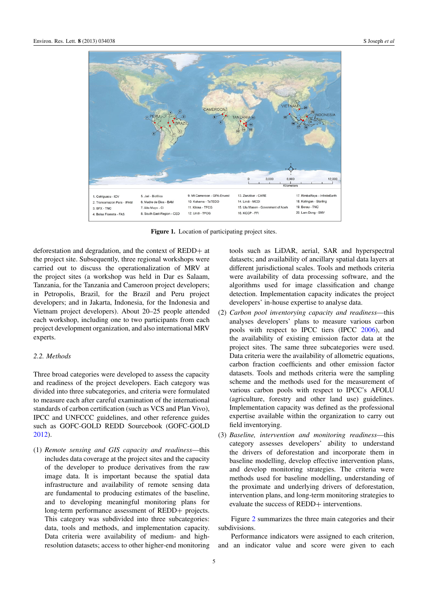<span id="page-5-0"></span>

Figure 1. Location of participating project sites.

deforestation and degradation, and the context of REDD+ at the project site. Subsequently, three regional workshops were carried out to discuss the operationalization of MRV at the project sites (a workshop was held in Dar es Salaam, Tanzania, for the Tanzania and Cameroon project developers; in Petropolis, Brazil, for the Brazil and Peru project developers; and in Jakarta, Indonesia, for the Indonesia and Vietnam project developers). About 20–25 people attended each workshop, including one to two participants from each project development organization, and also international MRV experts.

#### *2.2. Methods*

Three broad categories were developed to assess the capacity and readiness of the project developers. Each category was divided into three subcategories, and criteria were formulated to measure each after careful examination of the international standards of carbon certification (such as VCS and Plan Vivo), IPCC and UNFCCC guidelines, and other reference guides such as GOFC-GOLD REDD Sourcebook (GOFC-GOLD [2012\)](#page-14-7).

(1) *Remote sensing and GIS capacity and readiness*—this includes data coverage at the project sites and the capacity of the developer to produce derivatives from the raw image data. It is important because the spatial data infrastructure and availability of remote sensing data are fundamental to producing estimates of the baseline, and to developing meaningful monitoring plans for long-term performance assessment of REDD+ projects. This category was subdivided into three subcategories: data, tools and methods, and implementation capacity. Data criteria were availability of medium- and highresolution datasets; access to other higher-end monitoring

tools such as LiDAR, aerial, SAR and hyperspectral datasets; and availability of ancillary spatial data layers at different jurisdictional scales. Tools and methods criteria were availability of data processing software, and the algorithms used for image classification and change detection. Implementation capacity indicates the project developers' in-house expertise to analyse data.

- (2) *Carbon pool inventorying capacity and readiness*—this analyses developers' plans to measure various carbon pools with respect to IPCC tiers (IPCC [2006\)](#page-14-6), and the availability of existing emission factor data at the project sites. The same three subcategories were used. Data criteria were the availability of allometric equations, carbon fraction coefficients and other emission factor datasets. Tools and methods criteria were the sampling scheme and the methods used for the measurement of various carbon pools with respect to IPCC's AFOLU (agriculture, forestry and other land use) guidelines. Implementation capacity was defined as the professional expertise available within the organization to carry out field inventorying.
- (3) *Baseline, intervention and monitoring readiness*—this category assesses developers' ability to understand the drivers of deforestation and incorporate them in baseline modelling, develop effective intervention plans, and develop monitoring strategies. The criteria were methods used for baseline modelling, understanding of the proximate and underlying drivers of deforestation, intervention plans, and long-term monitoring strategies to evaluate the success of REDD+ interventions.

Figure [2](#page-6-0) summarizes the three main categories and their subdivisions.

Performance indicators were assigned to each criterion, and an indicator value and score were given to each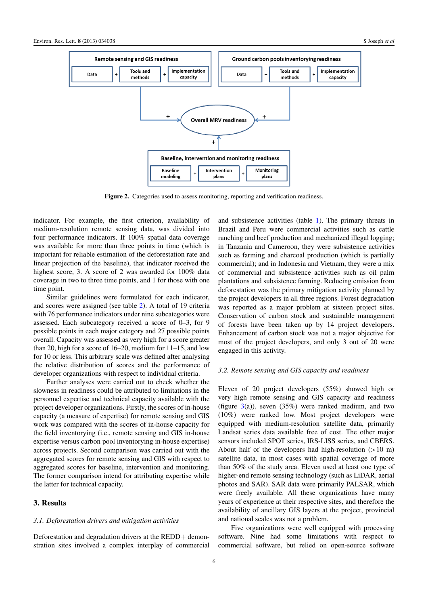<span id="page-6-0"></span>

Figure 2. Categories used to assess monitoring, reporting and verification readiness.

indicator. For example, the first criterion, availability of medium-resolution remote sensing data, was divided into four performance indicators. If 100% spatial data coverage was available for more than three points in time (which is important for reliable estimation of the deforestation rate and linear projection of the baseline), that indicator received the highest score, 3. A score of 2 was awarded for 100% data coverage in two to three time points, and 1 for those with one time point.

Similar guidelines were formulated for each indicator, and scores were assigned (see table [2\)](#page-7-0). A total of 19 criteria with 76 performance indicators under nine subcategories were assessed. Each subcategory received a score of 0–3, for 9 possible points in each major category and 27 possible points overall. Capacity was assessed as very high for a score greater than 20, high for a score of 16–20, medium for 11–15, and low for 10 or less. This arbitrary scale was defined after analysing the relative distribution of scores and the performance of developer organizations with respect to individual criteria.

Further analyses were carried out to check whether the slowness in readiness could be attributed to limitations in the personnel expertise and technical capacity available with the project developer organizations. Firstly, the scores of in-house capacity (a measure of expertise) for remote sensing and GIS work was compared with the scores of in-house capacity for the field inventorying (i.e., remote sensing and GIS in-house expertise versus carbon pool inventorying in-house expertise) across projects. Second comparison was carried out with the aggregated scores for remote sensing and GIS with respect to aggregated scores for baseline, intervention and monitoring. The former comparison intend for attributing expertise while the latter for technical capacity.

# 3. Results

#### *3.1. Deforestation drivers and mitigation activities*

Deforestation and degradation drivers at the REDD+ demonstration sites involved a complex interplay of commercial and subsistence activities (table [1\)](#page-3-0). The primary threats in Brazil and Peru were commercial activities such as cattle ranching and beef production and mechanized illegal logging; in Tanzania and Cameroon, they were subsistence activities such as farming and charcoal production (which is partially commercial); and in Indonesia and Vietnam, they were a mix of commercial and subsistence activities such as oil palm plantations and subsistence farming. Reducing emission from deforestation was the primary mitigation activity planned by the project developers in all three regions. Forest degradation was reported as a major problem at sixteen project sites. Conservation of carbon stock and sustainable management of forests have been taken up by 14 project developers. Enhancement of carbon stock was not a major objective for most of the project developers, and only 3 out of 20 were engaged in this activity.

#### *3.2. Remote sensing and GIS capacity and readiness*

Eleven of 20 project developers (55%) showed high or very high remote sensing and GIS capacity and readiness (figure  $3(a)$  $3(a)$ ), seven (35%) were ranked medium, and two (10%) were ranked low. Most project developers were equipped with medium-resolution satellite data, primarily Landsat series data available free of cost. The other major sensors included SPOT series, IRS-LISS series, and CBERS. About half of the developers had high-resolution  $(>10 \text{ m})$ satellite data, in most cases with spatial coverage of more than 50% of the study area. Eleven used at least one type of higher-end remote sensing technology (such as LiDAR, aerial photos and SAR). SAR data were primarily PALSAR, which were freely available. All these organizations have many years of experience at their respective sites, and therefore the availability of ancillary GIS layers at the project, provincial and national scales was not a problem.

Five organizations were well equipped with processing software. Nine had some limitations with respect to commercial software, but relied on open-source software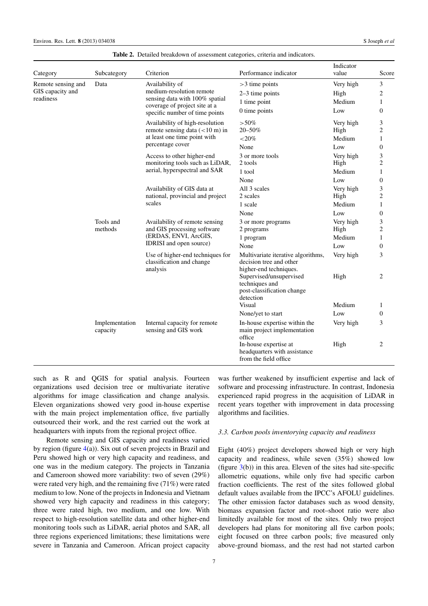<span id="page-7-0"></span>

| Environ. Res. Lett. 8 (2013) 034038 | i Joseph <i>et al</i> |
|-------------------------------------|-----------------------|
|                                     |                       |

Remote sensing and GIS capacity and

| GIS capacity and<br>readiness |                      | medium-resolution remote<br>sensing data with 100% spatial<br>coverage of project site at a<br>specific number of time points   | $2-3$ time points<br>1 time point<br>0 time points                                      | High<br>Medium<br>Low                     | $\overline{2}$<br>$\boldsymbol{0}$             |
|-------------------------------|----------------------|---------------------------------------------------------------------------------------------------------------------------------|-----------------------------------------------------------------------------------------|-------------------------------------------|------------------------------------------------|
|                               |                      | Availability of high-resolution<br>remote sensing data $(<10 \text{ m})$ in<br>at least one time point with<br>percentage cover | $> 50\%$<br>20–50%<br>${<}20\%$<br>None                                                 | Very high<br>High<br>Medium<br>Low        | 3<br>2<br>$\boldsymbol{0}$                     |
|                               |                      | Access to other higher-end<br>monitoring tools such as LiDAR,<br>aerial, hyperspectral and SAR                                  | 3 or more tools<br>2 tools<br>1 tool                                                    | Very high<br>High<br>Medium               | 3<br>2                                         |
|                               |                      | Availability of GIS data at<br>national, provincial and project<br>scales                                                       | None<br>All 3 scales<br>2 scales<br>1 scale<br>None                                     | Low<br>Very high<br>High<br>Medium<br>Low | $\boldsymbol{0}$<br>3<br>2<br>$\boldsymbol{0}$ |
|                               | Tools and<br>methods | Availability of remote sensing<br>and GIS processing software<br>(ERDAS, ENVI, ArcGIS,<br><b>IDRISI</b> and open source)        | 3 or more programs<br>2 programs<br>1 program<br>None                                   | Very high<br>High<br>Medium<br>Low        | 3<br>2<br>0                                    |
|                               |                      | Use of higher-end techniques for<br>classification and change<br>analysis                                                       | Multivariate iterative algorithms,<br>decision tree and other<br>higher-end techniques. | Very high                                 | 3                                              |

Category Subcategory Criterion Performance indicator

medium-resolution remote

Internal capacity for remote sensing and GIS work

Data Availability of

such as R and QGIS for spatial analysis. Fourteen organizations used decision tree or multivariate iterative algorithms for image classification and change analysis. Eleven organizations showed very good in-house expertise with the main project implementation office, five partially outsourced their work, and the rest carried out the work at headquarters with inputs from the regional project office.

Implementation capacity

Remote sensing and GIS capacity and readiness varied by region (figure  $4(a)$  $4(a)$ ). Six out of seven projects in Brazil and Peru showed high or very high capacity and readiness, and one was in the medium category. The projects in Tanzania and Cameroon showed more variability: two of seven (29%) were rated very high, and the remaining five (71%) were rated medium to low. None of the projects in Indonesia and Vietnam showed very high capacity and readiness in this category; three were rated high, two medium, and one low. With respect to high-resolution satellite data and other higher-end monitoring tools such as LiDAR, aerial photos and SAR, all three regions experienced limitations; these limitations were severe in Tanzania and Cameroon. African project capacity

was further weakened by insufficient expertise and lack of software and processing infrastructure. In contrast, Indonesia experienced rapid progress in the acquisition of LiDAR in recent years together with improvement in data processing algorithms and facilities.

Visual Medium 1 None/yet to start Low Low 0

# *3.3. Carbon pools inventorying capacity and readiness*

Supervised/unsupervised

post-classification change

In-house expertise within the main project implementation

In-house expertise at headquarters with assistance from the field office

techniques and

detection

office

Eight (40%) project developers showed high or very high capacity and readiness, while seven (35%) showed low (figure  $3(b)$  $3(b)$ ) in this area. Eleven of the sites had site-specific allometric equations, while only five had specific carbon fraction coefficients. The rest of the sites followed global default values available from the IPCC's AFOLU guidelines. The other emission factor databases such as wood density, biomass expansion factor and root–shoot ratio were also limitedly available for most of the sites. Only two project developers had plans for monitoring all five carbon pools; eight focused on three carbon pools; five measured only above-ground biomass, and the rest had not started carbon

Indicator

>3 time points Very high 3

value Score

High 2

Very high 3

High 2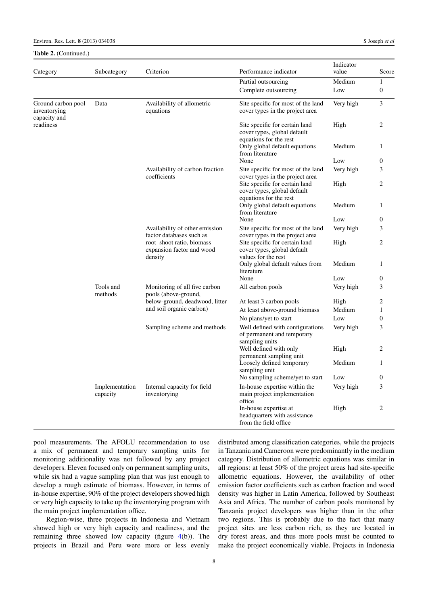Table 2. (Continued.)

| Category                                           | Subcategory                | Criterion                                                         | Performance indicator                                                                   | Indicator<br>value | Score            |
|----------------------------------------------------|----------------------------|-------------------------------------------------------------------|-----------------------------------------------------------------------------------------|--------------------|------------------|
|                                                    |                            |                                                                   | Partial outsourcing                                                                     | Medium             | $\mathbf{1}$     |
|                                                    |                            |                                                                   | Complete outsourcing                                                                    | Low                | $\mathbf{0}$     |
| Ground carbon pool<br>inventorying<br>capacity and | Data                       | Availability of allometric<br>equations                           | Site specific for most of the land<br>cover types in the project area                   | Very high          | 3                |
| readiness                                          |                            |                                                                   | Site specific for certain land<br>cover types, global default<br>equations for the rest | High               | 2                |
|                                                    |                            |                                                                   | Only global default equations<br>from literature                                        | Medium             | 1                |
|                                                    |                            |                                                                   | None                                                                                    | Low                | $\boldsymbol{0}$ |
|                                                    |                            | Availability of carbon fraction<br>coefficients                   | Site specific for most of the land<br>cover types in the project area                   | Very high          | 3                |
|                                                    |                            |                                                                   | Site specific for certain land<br>cover types, global default<br>equations for the rest | High               | $\overline{2}$   |
|                                                    |                            |                                                                   | Only global default equations<br>from literature                                        | Medium             | 1                |
|                                                    |                            |                                                                   | None                                                                                    | Low                | $\mathbf{0}$     |
|                                                    |                            | Availability of other emission<br>factor databases such as        | Site specific for most of the land<br>cover types in the project area                   | Very high          | 3                |
|                                                    |                            | root-shoot ratio, biomass<br>expansion factor and wood<br>density | Site specific for certain land<br>cover types, global default<br>values for the rest    | High               | $\overline{c}$   |
|                                                    |                            |                                                                   | Only global default values from<br>literature                                           | Medium             | 1                |
|                                                    |                            |                                                                   | None                                                                                    | Low                | $\boldsymbol{0}$ |
|                                                    | Tools and<br>methods       | Monitoring of all five carbon<br>pools (above-ground,             | All carbon pools                                                                        | Very high          | 3                |
|                                                    |                            | below-ground, deadwood, litter                                    | At least 3 carbon pools                                                                 | High               | $\overline{2}$   |
|                                                    |                            | and soil organic carbon)                                          | At least above-ground biomass                                                           | Medium             | $\mathbf{1}$     |
|                                                    |                            |                                                                   | No plans/yet to start                                                                   | Low                | $\boldsymbol{0}$ |
|                                                    |                            | Sampling scheme and methods                                       | Well defined with configurations<br>of permanent and temporary<br>sampling units        | Very high          | 3                |
|                                                    |                            |                                                                   | Well defined with only<br>permanent sampling unit                                       | High               | 2                |
|                                                    |                            |                                                                   | Loosely defined temporary<br>sampling unit                                              | Medium             | 1                |
|                                                    |                            |                                                                   | No sampling scheme/yet to start                                                         | Low                | $\mathbf{0}$     |
|                                                    | Implementation<br>capacity | Internal capacity for field<br>inventorying                       | In-house expertise within the<br>main project implementation<br>office                  | Very high          | 3                |
|                                                    |                            |                                                                   | In-house expertise at<br>headquarters with assistance<br>from the field office          | High               | $\overline{2}$   |

pool measurements. The AFOLU recommendation to use a mix of permanent and temporary sampling units for monitoring additionality was not followed by any project developers. Eleven focused only on permanent sampling units, while six had a vague sampling plan that was just enough to develop a rough estimate of biomass. However, in terms of in-house expertise, 90% of the project developers showed high or very high capacity to take up the inventorying program with the main project implementation office.

Region-wise, three projects in Indonesia and Vietnam showed high or very high capacity and readiness, and the remaining three showed low capacity (figure [4\(](#page-11-0)b)). The projects in Brazil and Peru were more or less evenly

distributed among classification categories, while the projects in Tanzania and Cameroon were predominantly in the medium category. Distribution of allometric equations was similar in all regions: at least 50% of the project areas had site-specific allometric equations. However, the availability of other emission factor coefficients such as carbon fraction and wood density was higher in Latin America, followed by Southeast Asia and Africa. The number of carbon pools monitored by Tanzania project developers was higher than in the other two regions. This is probably due to the fact that many project sites are less carbon rich, as they are located in dry forest areas, and thus more pools must be counted to make the project economically viable. Projects in Indonesia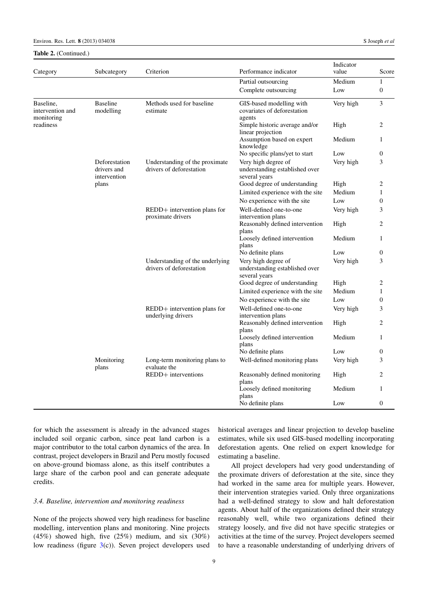Environ. Res. Lett. 8 (2013) 034038 S Joseph *et al*

Table 2. (Continued.)

|                                     | Subcategory                                  | Criterion                                                   | Performance indicator                                                  | Indicator<br>value | Score          |
|-------------------------------------|----------------------------------------------|-------------------------------------------------------------|------------------------------------------------------------------------|--------------------|----------------|
| Category<br>monitoring<br>readiness |                                              |                                                             | Partial outsourcing                                                    | Medium             | 1              |
|                                     |                                              |                                                             | Complete outsourcing                                                   | Low                | $\overline{0}$ |
| Baseline,<br>intervention and       | <b>Baseline</b><br>modelling                 | Methods used for baseline<br>estimate                       | GIS-based modelling with<br>covariates of deforestation<br>agents      | Very high          | 3              |
|                                     |                                              |                                                             | Simple historic average and/or<br>linear projection                    | High               | 2              |
|                                     |                                              |                                                             | Assumption based on expert<br>knowledge                                | Medium             | 1              |
|                                     |                                              |                                                             | No specific plans/yet to start                                         | Low                | $\Omega$       |
|                                     | Deforestation<br>drivers and<br>intervention | Understanding of the proximate<br>drivers of deforestation  | Very high degree of<br>understanding established over<br>several years | Very high          | 3              |
|                                     | plans                                        |                                                             | Good degree of understanding                                           | High               | $\overline{2}$ |
|                                     |                                              |                                                             | Limited experience with the site                                       | Medium             | 1              |
|                                     |                                              |                                                             | No experience with the site                                            | Low                | $\Omega$       |
|                                     |                                              | REDD+ intervention plans for<br>proximate drivers           | Well-defined one-to-one<br>intervention plans                          | Very high          | 3              |
|                                     |                                              |                                                             | Reasonably defined intervention<br>plans                               | High               | $\overline{c}$ |
|                                     |                                              |                                                             | Loosely defined intervention<br>plans                                  | Medium             | 1              |
|                                     |                                              |                                                             | No definite plans                                                      | Low                | $\theta$       |
|                                     |                                              | Understanding of the underlying<br>drivers of deforestation | Very high degree of<br>understanding established over<br>several years | Very high          | 3              |
|                                     |                                              |                                                             | Good degree of understanding                                           | High               | 2              |
|                                     |                                              |                                                             | Limited experience with the site                                       | Medium             | 1              |
|                                     |                                              |                                                             | No experience with the site                                            | Low                | $\theta$       |
|                                     |                                              | $REDD+$ intervention plans for<br>underlying drivers        | Well-defined one-to-one<br>intervention plans                          | Very high          | 3              |
|                                     |                                              |                                                             | Reasonably defined intervention<br>plans                               | High               | 2              |
|                                     |                                              |                                                             | Loosely defined intervention<br>plans                                  | Medium             | 1              |
|                                     |                                              |                                                             | No definite plans                                                      | Low                | $\Omega$       |
|                                     | Monitoring<br>plans                          | Long-term monitoring plans to<br>evaluate the               | Well-defined monitoring plans                                          | Very high          | 3              |
|                                     |                                              | REDD+ interventions                                         | Reasonably defined monitoring<br>plans                                 | High               | 2              |
|                                     |                                              |                                                             | Loosely defined monitoring<br>plans                                    | Medium             | 1              |
|                                     |                                              |                                                             | No definite plans                                                      | Low                | $\overline{0}$ |

for which the assessment is already in the advanced stages included soil organic carbon, since peat land carbon is a major contributor to the total carbon dynamics of the area. In contrast, project developers in Brazil and Peru mostly focused on above-ground biomass alone, as this itself contributes a large share of the carbon pool and can generate adequate credits.

#### *3.4. Baseline, intervention and monitoring readiness*

None of the projects showed very high readiness for baseline modelling, intervention plans and monitoring. Nine projects (45%) showed high, five (25%) medium, and six (30%) low readiness (figure  $3(c)$  $3(c)$ ). Seven project developers used historical averages and linear projection to develop baseline estimates, while six used GIS-based modelling incorporating deforestation agents. One relied on expert knowledge for estimating a baseline.

All project developers had very good understanding of the proximate drivers of deforestation at the site, since they had worked in the same area for multiple years. However, their intervention strategies varied. Only three organizations had a well-defined strategy to slow and halt deforestation agents. About half of the organizations defined their strategy reasonably well, while two organizations defined their strategy loosely, and five did not have specific strategies or activities at the time of the survey. Project developers seemed to have a reasonable understanding of underlying drivers of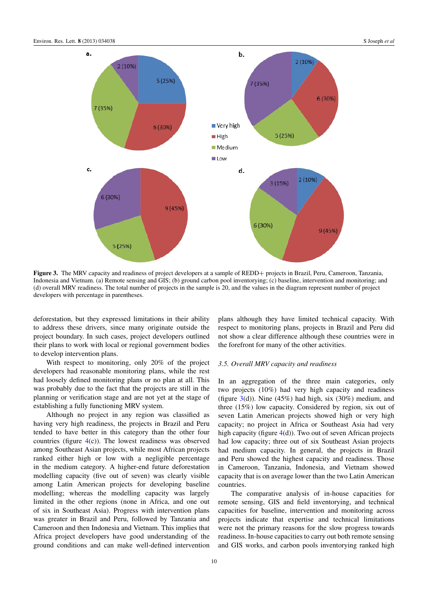<span id="page-10-0"></span>

Figure 3. The MRV capacity and readiness of project developers at a sample of REDD+ projects in Brazil, Peru, Cameroon, Tanzania, Indonesia and Vietnam. (a) Remote sensing and GIS; (b) ground carbon pool inventorying; (c) baseline, intervention and monitoring; and (d) overall MRV readiness. The total number of projects in the sample is 20, and the values in the diagram represent number of project developers with percentage in parentheses.

deforestation, but they expressed limitations in their ability to address these drivers, since many originate outside the project boundary. In such cases, project developers outlined their plans to work with local or regional government bodies to develop intervention plans.

With respect to monitoring, only 20% of the project developers had reasonable monitoring plans, while the rest had loosely defined monitoring plans or no plan at all. This was probably due to the fact that the projects are still in the planning or verification stage and are not yet at the stage of establishing a fully functioning MRV system.

Although no project in any region was classified as having very high readiness, the projects in Brazil and Peru tended to have better in this category than the other four countries (figure [4\(](#page-11-0)c)). The lowest readiness was observed among Southeast Asian projects, while most African projects ranked either high or low with a negligible percentage in the medium category. A higher-end future deforestation modelling capacity (five out of seven) was clearly visible among Latin American projects for developing baseline modelling; whereas the modelling capacity was largely limited in the other regions (none in Africa, and one out of six in Southeast Asia). Progress with intervention plans was greater in Brazil and Peru, followed by Tanzania and Cameroon and then Indonesia and Vietnam. This implies that Africa project developers have good understanding of the ground conditions and can make well-defined intervention

plans although they have limited technical capacity. With respect to monitoring plans, projects in Brazil and Peru did not show a clear difference although these countries were in the forefront for many of the other activities.

#### *3.5. Overall MRV capacity and readiness*

In an aggregation of the three main categories, only two projects (10%) had very high capacity and readiness (figure  $3(d)$  $3(d)$ ). Nine (45%) had high, six (30%) medium, and three (15%) low capacity. Considered by region, six out of seven Latin American projects showed high or very high capacity; no project in Africa or Southeast Asia had very high capacity (figure [4\(](#page-11-0)d)). Two out of seven African projects had low capacity; three out of six Southeast Asian projects had medium capacity. In general, the projects in Brazil and Peru showed the highest capacity and readiness. Those in Cameroon, Tanzania, Indonesia, and Vietnam showed capacity that is on average lower than the two Latin American countries.

The comparative analysis of in-house capacities for remote sensing, GIS and field inventorying, and technical capacities for baseline, intervention and monitoring across projects indicate that expertise and technical limitations were not the primary reasons for the slow progress towards readiness. In-house capacities to carry out both remote sensing and GIS works, and carbon pools inventorying ranked high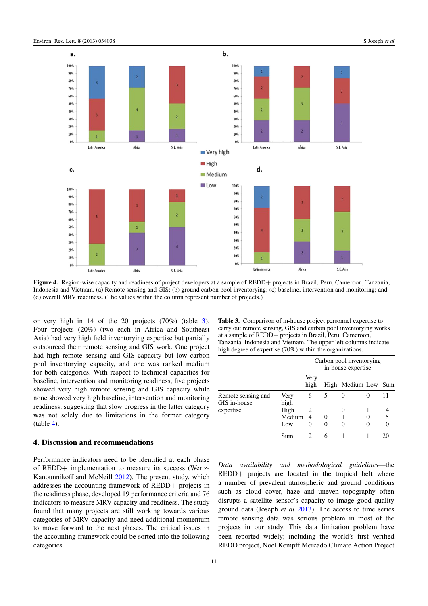<span id="page-11-0"></span>

Figure 4. Region-wise capacity and readiness of project developers at a sample of REDD+ projects in Brazil, Peru, Cameroon, Tanzania, Indonesia and Vietnam. (a) Remote sensing and GIS; (b) ground carbon pool inventorying; (c) baseline, intervention and monitoring; and (d) overall MRV readiness. (The values within the column represent number of projects.)

or very high in 14 of the 20 projects (70%) (table [3\)](#page-11-1). Four projects (20%) (two each in Africa and Southeast Asia) had very high field inventorying expertise but partially outsourced their remote sensing and GIS work. One project had high remote sensing and GIS capacity but low carbon pool inventorying capacity, and one was ranked medium for both categories. With respect to technical capacities for baseline, intervention and monitoring readiness, five projects showed very high remote sensing and GIS capacity while none showed very high baseline, intervention and monitoring readiness, suggesting that slow progress in the latter category was not solely due to limitations in the former category (table [4\)](#page-12-0).

#### 4. Discussion and recommendations

Performance indicators need to be identified at each phase of REDD+ implementation to measure its success (Wertz-Kanounnikoff and McNeill [2012\)](#page-15-8). The present study, which addresses the accounting framework of REDD+ projects in the readiness phase, developed 19 performance criteria and 76 indicators to measure MRV capacity and readiness. The study found that many projects are still working towards various categories of MRV capacity and need additional momentum to move forward to the next phases. The critical issues in the accounting framework could be sorted into the following categories.

<span id="page-11-1"></span>Table 3. Comparison of in-house project personnel expertise to carry out remote sensing, GIS and carbon pool inventorying works at a sample of REDD+ projects in Brazil, Peru, Cameroon, Tanzania, Indonesia and Vietnam. The upper left columns indicate high degree of expertise (70%) within the organizations.

|                                    |                |                     |   | Carbon pool inventorying<br>in-house expertise |    |
|------------------------------------|----------------|---------------------|---|------------------------------------------------|----|
|                                    |                | Very<br>high        |   | High Medium Low Sum                            |    |
| Remote sensing and<br>GIS in-house | Very<br>high   | 6                   | 5 | $\theta$                                       | 11 |
| expertise                          | High<br>Medium | 2<br>$\overline{4}$ |   |                                                | 5  |
|                                    | Low            | 0                   | 0 |                                                |    |
|                                    | Sum            | 12                  | 6 |                                                |    |

*Data availability and methodological guidelines*—the REDD+ projects are located in the tropical belt where a number of prevalent atmospheric and ground conditions such as cloud cover, haze and uneven topography often disrupts a satellite sensor's capacity to image good quality ground data (Joseph *et al* [2013\)](#page-14-18). The access to time series remote sensing data was serious problem in most of the projects in our study. This data limitation problem have been reported widely; including the world's first verified REDD project, Noel Kempff Mercado Climate Action Project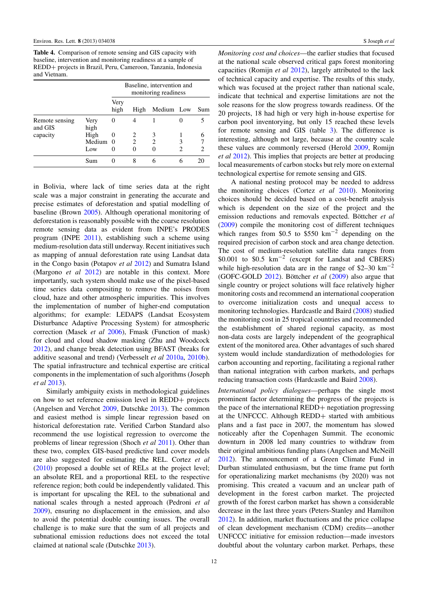<span id="page-12-0"></span>Table 4. Comparison of remote sensing and GIS capacity with baseline, intervention and monitoring readiness at a sample of REDD+ projects in Brazil, Peru, Cameroon, Tanzania, Indonesia and Vietnam.

|                           |              |              |      | Baseline, intervention and<br>monitoring readiness |   |     |
|---------------------------|--------------|--------------|------|----------------------------------------------------|---|-----|
|                           |              | Very<br>high | High | Medium Low                                         |   | Sum |
| Remote sensing<br>and GIS | Very<br>high | $\theta$     |      |                                                    |   |     |
| capacity                  | High         |              | 2    | 3                                                  |   | h   |
|                           | Medium       | - ()         | 2    | 2                                                  | 3 |     |
|                           | Low          | O            |      |                                                    |   | 2   |
|                           | Sum          |              |      |                                                    |   |     |

in Bolivia, where lack of time series data at the right scale was a major constraint in generating the accurate and precise estimates of deforestation and spatial modelling of baseline (Brown [2005\)](#page-14-19). Although operational monitoring of deforestation is reasonably possible with the coarse resolution remote sensing data as evident from INPE's PRODES program (INPE [2011\)](#page-14-20), establishing such a scheme using medium-resolution data still underway. Recent initiatives such as mapping of annual deforestation rate using Landsat data in the Congo basin (Potapov *et al* [2012\)](#page-15-9) and Sumatra Island (Margono *et al* [2012\)](#page-14-21) are notable in this context. More importantly, such system should make use of the pixel-based time series data compositing to remove the noises from cloud, haze and other atmospheric impurities. This involves the implementation of number of higher-end computation algorithms; for example: LEDAPS (Landsat Ecosystem Disturbance Adaptive Processing System) for atmospheric correction (Masek *et al* [2006\)](#page-15-10), Fmask (Function of mask) for cloud and cloud shadow masking (Zhu and Woodcock [2012\)](#page-15-11), and change break detection using BFAST (breaks for additive seasonal and trend) (Verbesselt *et al* [2010a,](#page-15-12) [2010b\)](#page-15-13). The spatial infrastructure and technical expertise are critical components in the implementation of such algorithms (Joseph *et al* [2013\)](#page-14-18).

Similarly ambiguity exists in methodological guidelines on how to set reference emission level in REDD+ projects (Angelsen and Verchot [2009,](#page-14-22) Dutschke [2013\)](#page-14-23). The common and easiest method is simple linear regression based on historical deforestation rate. Verified Carbon Standard also recommend the use logistical regression to overcome the problems of linear regression (Shoch *et al* [2011\)](#page-15-4). Other than these two, complex GIS-based predictive land cover models are also suggested for estimating the REL. Cortez *et al* [\(2010\)](#page-14-24) proposed a double set of RELs at the project level; an absolute REL and a proportional REL to the respective reference region; both could be independently validated. This is important for upscaling the REL to the subnational and national scales through a nested approach (Pedroni *et al* [2009\)](#page-15-14), ensuring no displacement in the emission, and also to avoid the potential double counting issues. The overall challenge is to make sure that the sum of all projects and subnational emission reductions does not exceed the total claimed at national scale (Dutschke [2013\)](#page-14-23).

*Monitoring cost and choices*—the earlier studies that focused at the national scale observed critical gaps forest monitoring capacities (Romijn *et al* [2012\)](#page-15-5), largely attributed to the lack of technical capacity and expertise. The results of this study, which was focused at the project rather than national scale, indicate that technical and expertise limitations are not the sole reasons for the slow progress towards readiness. Of the 20 projects, 18 had high or very high in-house expertise for carbon pool inventorying, but only 15 reached these levels for remote sensing and GIS (table [3\)](#page-11-1). The difference is interesting, although not large, because at the country scale these values are commonly reversed (Herold [2009,](#page-14-8) Romijn *et al* [2012\)](#page-15-5). This implies that projects are better at producing local measurements of carbon stocks but rely more on external technological expertise for remote sensing and GIS.

A national nesting protocol may be needed to address the monitoring choices (Cortez *et al* [2010\)](#page-14-24). Monitoring choices should be decided based on a cost-benefit analysis which is dependent on the size of the project and the emission reductions and removals expected. Böttcher et al [\(2009\)](#page-14-14) compile the monitoring cost of different techniques which ranges from \$0.5 to \$550 km<sup>-2</sup> depending on the required precision of carbon stock and area change detection. The cost of medium-resolution satellite data ranges from \$0.001 to \$0.5 km−<sup>2</sup> (except for Landsat and CBERS) while high-resolution data are in the range of  $$2-30$  km<sup>-2</sup> (GOFC-GOLD [2012\)](#page-14-7). Böttcher et al [\(2009\)](#page-14-14) also argue that single country or project solutions will face relatively higher monitoring costs and recommend an international cooperation to overcome initialization costs and unequal access to monitoring technologies. Hardcastle and Baird [\(2008\)](#page-14-25) studied the monitoring cost in 25 tropical countries and recommended the establishment of shared regional capacity, as most non-data costs are largely independent of the geographical extent of the monitored area. Other advantages of such shared system would include standardization of methodologies for carbon accounting and reporting, facilitating a regional rather than national integration with carbon markets, and perhaps reducing transaction costs (Hardcastle and Baird [2008\)](#page-14-25).

*International policy dialogues*—perhaps the single most prominent factor determining the progress of the projects is the pace of the international REDD+ negotiation progressing at the UNFCCC. Although REDD+ started with ambitious plans and a fast pace in 2007, the momentum has slowed noticeably after the Copenhagen Summit. The economic downturn in 2008 led many countries to withdraw from their original ambitious funding plans (Angelsen and McNeill [2012\)](#page-14-26). The announcement of a Green Climate Fund in Durban stimulated enthusiasm, but the time frame put forth for operationalizing market mechanisms (by 2020) was not promising. This created a vacuum and an unclear path of development in the forest carbon market. The projected growth of the forest carbon market has shown a considerable decrease in the last three years (Peters-Stanley and Hamilton [2012\)](#page-15-15). In addition, market fluctuations and the price collapse of clean development mechanism (CDM) credits—another UNFCCC initiative for emission reduction—made investors doubtful about the voluntary carbon market. Perhaps, these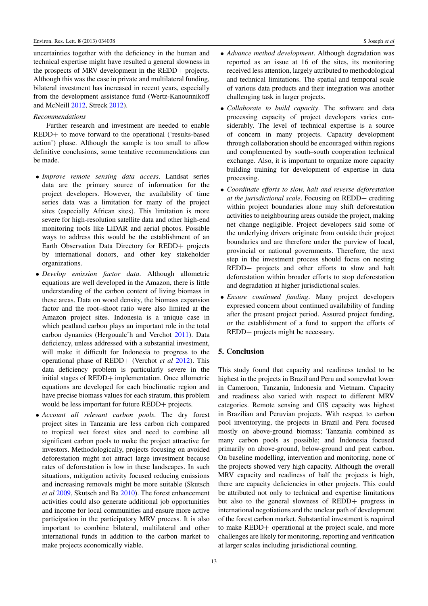uncertainties together with the deficiency in the human and technical expertise might have resulted a general slowness in the prospects of MRV development in the REDD+ projects. Although this was the case in private and multilateral funding, bilateral investment has increased in recent years, especially from the development assistance fund (Wertz-Kanounnikoff and McNeill [2012,](#page-15-8) Streck [2012\)](#page-15-16).

#### *Recommendations*

Further research and investment are needed to enable REDD+ to move forward to the operational ('results-based action') phase. Although the sample is too small to allow definitive conclusions, some tentative recommendations can be made.

- *Improve remote sensing data access*. Landsat series data are the primary source of information for the project developers. However, the availability of time series data was a limitation for many of the project sites (especially African sites). This limitation is more severe for high-resolution satellite data and other high-end monitoring tools like LiDAR and aerial photos. Possible ways to address this would be the establishment of an Earth Observation Data Directory for REDD+ projects by international donors, and other key stakeholder organizations.
- *Develop emission factor data*. Although allometric equations are well developed in the Amazon, there is little understanding of the carbon content of living biomass in these areas. Data on wood density, the biomass expansion factor and the root–shoot ratio were also limited at the Amazon project sites. Indonesia is a unique case in which peatland carbon plays an important role in the total carbon dynamics (Hergoualc'h and Verchot [2011\)](#page-14-27). Data deficiency, unless addressed with a substantial investment, will make it difficult for Indonesia to progress to the operational phase of REDD+ (Verchot *et al* [2012\)](#page-15-17). This data deficiency problem is particularly severe in the initial stages of REDD+ implementation. Once allometric equations are developed for each bioclimatic region and have precise biomass values for each stratum, this problem would be less important for future REDD+ projects.
- *Account all relevant carbon pools*. The dry forest project sites in Tanzania are less carbon rich compared to tropical wet forest sites and need to combine all significant carbon pools to make the project attractive for investors. Methodologically, projects focusing on avoided deforestation might not attract large investment because rates of deforestation is low in these landscapes. In such situations, mitigation activity focused reducing emissions and increasing removals might be more suitable (Skutsch *et al* [2009,](#page-15-18) Skutsch and Ba [2010\)](#page-15-19). The forest enhancement activities could also generate additional job opportunities and income for local communities and ensure more active participation in the participatory MRV process. It is also important to combine bilateral, multilateral and other international funds in addition to the carbon market to make projects economically viable.
- *Advance method development*. Although degradation was reported as an issue at 16 of the sites, its monitoring received less attention, largely attributed to methodological and technical limitations. The spatial and temporal scale of various data products and their integration was another challenging task in larger projects.
- *Collaborate to build capacity*. The software and data processing capacity of project developers varies considerably. The level of technical expertise is a source of concern in many projects. Capacity development through collaboration should be encouraged within regions and complemented by south–south cooperation technical exchange. Also, it is important to organize more capacity building training for development of expertise in data processing.
- *Coordinate efforts to slow, halt and reverse deforestation at the jurisdictional scale*. Focusing on REDD+ crediting within project boundaries alone may shift deforestation activities to neighbouring areas outside the project, making net change negligible. Project developers said some of the underlying drivers originate from outside their project boundaries and are therefore under the purview of local, provincial or national governments. Therefore, the next step in the investment process should focus on nesting REDD+ projects and other efforts to slow and halt deforestation within broader efforts to stop deforestation and degradation at higher jurisdictional scales.
- *Ensure continued funding*. Many project developers expressed concern about continued availability of funding after the present project period. Assured project funding, or the establishment of a fund to support the efforts of REDD+ projects might be necessary.

# 5. Conclusion

This study found that capacity and readiness tended to be highest in the projects in Brazil and Peru and somewhat lower in Cameroon, Tanzania, Indonesia and Vietnam. Capacity and readiness also varied with respect to different MRV categories. Remote sensing and GIS capacity was highest in Brazilian and Peruvian projects. With respect to carbon pool inventorying, the projects in Brazil and Peru focused mostly on above-ground biomass; Tanzania combined as many carbon pools as possible; and Indonesia focused primarily on above-ground, below-ground and peat carbon. On baseline modelling, intervention and monitoring, none of the projects showed very high capacity. Although the overall MRV capacity and readiness of half the projects is high, there are capacity deficiencies in other projects. This could be attributed not only to technical and expertise limitations but also to the general slowness of REDD+ progress in international negotiations and the unclear path of development of the forest carbon market. Substantial investment is required to make REDD+ operational at the project scale, and more challenges are likely for monitoring, reporting and verification at larger scales including jurisdictional counting.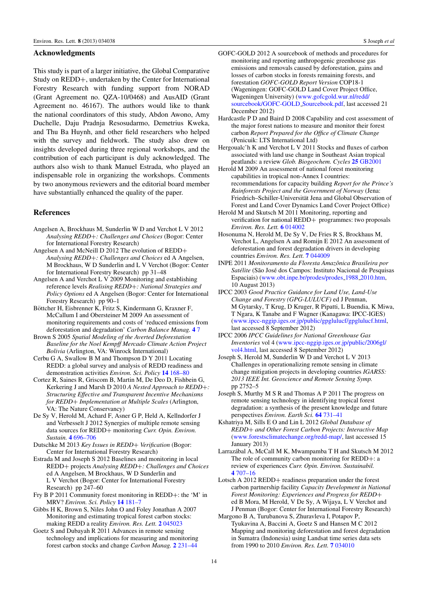#### Acknowledgments

This study is part of a larger initiative, the Global Comparative Study on REDD+, undertaken by the Center for International Forestry Research with funding support from NORAD (Grant Agreement no. QZA-10/0468) and AusAID (Grant Agreement no. 46167). The authors would like to thank the national coordinators of this study, Abdon Awono, Amy Duchelle, Daju Pradnja Resosudarmo, Demetrius Kweka, and Thu Ba Huynh, and other field researchers who helped with the survey and fieldwork. The study also drew on insights developed during three regional workshops, and the contribution of each participant is duly acknowledged. The authors also wish to thank Manuel Estrada, who played an indispensable role in organizing the workshops. Comments by two anonymous reviewers and the editorial board member have substantially enhanced the quality of the paper.

# References

- <span id="page-14-0"></span>Angelsen A, Brockhaus M, Sunderlin W D and Verchot L V 2012 *Analysing REDD*+*: Challenges and Choices* (Bogor: Center for International Forestry Research)
- <span id="page-14-26"></span>Angelsen A and McNeill D 2012 The evolution of REDD+ *Analysing REDD*+*: Challenges and Choices* ed A Angelsen, M Brockhaus, W D Sunderlin and L V Verchot (Bogor: Center for International Forestry Research) pp 31–48
- <span id="page-14-22"></span>Angelsen A and Verchot L V 2009 Monitoring and establishing reference levels *Realising REDD*+*: National Strategies and Policy Options* ed A Angelsen (Bogor: Center for International Forestry Research) pp 90–1
- <span id="page-14-14"></span>Böttcher H, Eisbrenner K, Fritz S, Kindermann G, Kraxner F, McCallum I and Obersteiner M 2009 An assessment of monitoring requirements and costs of 'reduced emissions from deforestation and degradation' *Carbon Balance Manag.* [4](http://dx.doi.org/10.1186/1750-0680-4-7) [7](http://dx.doi.org/10.1186/1750-0680-4-7)
- <span id="page-14-19"></span>Brown S 2005 *Spatial Modeling of the Averted Deforestation Baseline for the Noel Kempff Mercado Climate Action Project Bolivia* (Arlington, VA: Winrock International)
- <span id="page-14-2"></span>Cerbu G A, Swallow B M and Thompson D Y 2011 Locating REDD: a global survey and analysis of REDD readiness and demonstration activities *Environ. Sci. Policy* [14](http://dx.doi.org/10.1016/j.envsci.2010.09.007) [168–80](http://dx.doi.org/10.1016/j.envsci.2010.09.007)
- <span id="page-14-24"></span>Cortez R, Saines R, Griscom B, Martin M, De Deo D, Fishbein G, Kerkering J and Marsh D 2010 *A Nested Approach to REDD*+*: Structuring Effective and Transparent Incentive Mechanisms for REDD*+ *Implementation at Multiple Scales* (Arlington, VA: The Nature Conservancy)
- <span id="page-14-13"></span>De Sy V, Herold M, Achard F, Asner G P, Held A, Kellndorfer J and Verbesselt J 2012 Synergies of multiple remote sensing data sources for REDD+ monitoring *Curr. Opin. Environ. Sustain.* [4](http://dx.doi.org/10.1016/j.cosust.2012.09.013) [696–706](http://dx.doi.org/10.1016/j.cosust.2012.09.013)
- <span id="page-14-23"></span>Dutschke M 2013 *Key Issues in REDD*+ *Verification* (Bogor: Center for International Forestry Research)
- <span id="page-14-17"></span>Estrada M and Joseph S 2012 Baselines and monitoring in local REDD+ projects *Analysing REDD*+*: Challenges and Choices* ed A Angelsen, M Brockhaus, W D Sunderlin and L V Verchot (Bogor: Center for International Forestry Research) pp 247–60
- <span id="page-14-15"></span>Fry B P 2011 Community forest monitoring in REDD+: the 'M' in MRV? *Environ. Sci. Policy* [14](http://dx.doi.org/10.1016/j.envsci.2010.12.004) [181–7](http://dx.doi.org/10.1016/j.envsci.2010.12.004)
- <span id="page-14-10"></span>Gibbs H K, Brown S, Niles John O and Foley Jonathan A 2007 Monitoring and estimating tropical forest carbon stocks: making REDD a reality *Environ. Res. Lett.* [2](http://dx.doi.org/10.1088/1748-9326/2/4/045023) [045023](http://dx.doi.org/10.1088/1748-9326/2/4/045023)
- <span id="page-14-12"></span>Goetz S and Dubayah R 2011 Advances in remote sensing technology and implications for measuring and monitoring forest carbon stocks and change *Carbon Manag.* [2](http://dx.doi.org/10.4155/cmt.11.18) [231–44](http://dx.doi.org/10.4155/cmt.11.18)
- <span id="page-14-7"></span>GOFC-GOLD 2012 A sourcebook of methods and procedures for monitoring and reporting anthropogenic greenhouse gas emissions and removals caused by deforestation, gains and losses of carbon stocks in forests remaining forests, and forestation *GOFC-GOLD Report Version* COP18-1 (Wageningen: GOFC-GOLD Land Cover Project Office, Wageningen University) [\(www.gofcgold.wur.nl/redd/](http://www.gofcgold.wur.nl/redd/sourcebook/GOFC-GOLD_Sourcebook.pdf) [sourcebook/GOFC-GOLD](http://www.gofcgold.wur.nl/redd/sourcebook/GOFC-GOLD_Sourcebook.pdf) [Sourcebook.pdf,](http://www.gofcgold.wur.nl/redd/sourcebook/GOFC-GOLD_Sourcebook.pdf) last accessed 21 December 2012)
- <span id="page-14-25"></span>Hardcastle P D and Baird D 2008 Capability and cost assessment of the major forest nations to measure and monitor their forest carbon *Report Prepared for the Office of Climate Change* (Penicuik: LTS International Ltd)
- <span id="page-14-27"></span>Hergoualc'h K and Verchot L V 2011 Stocks and fluxes of carbon associated with land use change in Southeast Asian tropical peatlands: a review *Glob. Biogeochem. Cycles* [25](http://dx.doi.org/10.1029/2009GB003718) [GB2001](http://dx.doi.org/10.1029/2009GB003718)
- <span id="page-14-8"></span>Herold M 2009 An assessment of national forest monitoring capabilities in tropical non-Annex I countries: recommendations for capacity building *Report for the Prince's Rainforests Project and the Government of Norway* (Jena: Friedrich–Schiller-Universität Jena and Global Observation of Forest and Land Cover Dynamics Land Cover Project Office)
- <span id="page-14-4"></span>Herold M and Skutsch M 2011 Monitoring, reporting and verification for national REDD+ programmes: two proposals *Environ. Res. Lett.* [6](http://dx.doi.org/10.1088/1748-9326/6/1/014002) [014002](http://dx.doi.org/10.1088/1748-9326/6/1/014002)
- <span id="page-14-9"></span>Hosonuma N, Herold M, De Sy V, De Fries R S, Brockhaus M, Verchot L, Angelsen A and Romijn E 2012 An assessment of deforestation and forest degradation drivers in developing countries *Environ. Res. Lett.* [7](http://dx.doi.org/10.1088/1748-9326/7/4/044009) [044009](http://dx.doi.org/10.1088/1748-9326/7/4/044009)
- <span id="page-14-20"></span>INPE 2011 *Monitoramento da Floresta Amazonica Brasileira por ˆ Satélite* (São José dos Campos: Instituto Nacional de Pesquisas Espaciais) [\(www.obt.inpe.br/prodes/prodes](http://www.obt.inpe.br/prodes/prodes_1988_2010.htm) [1988](http://www.obt.inpe.br/prodes/prodes_1988_2010.htm) [2010.htm,](http://www.obt.inpe.br/prodes/prodes_1988_2010.htm) 10 August 2013)
- <span id="page-14-5"></span>IPCC 2003 *Good Practice Guidance for Land Use, Land-Use Change and Forestry (GPG-LULUCF)* ed J Penman, M Gytarsky, T Krug, D Kruger, R Pipatti, L Buendia, K Miwa, T Ngara, K Tanabe and F Wagner (Kanagawa: IPCC-IGES) [\(www.ipcc-nggip.iges.or.jp/public/gpglulucf/gpglulucf.html,](http://www.ipcc-nggip.iges.or.jp/public/gpglulucf/gpglulucf.html) last accessed 8 September 2012)
- <span id="page-14-6"></span>IPCC 2006 *IPCC Guidelines for National Greenhouse Gas Inventories* vol 4 [\(www.ipcc-nggip.iges.or.jp/public/2006gl/](http://www.ipcc-nggip.iges.or.jp/public/2006gl/vol4.html) [vol4.html,](http://www.ipcc-nggip.iges.or.jp/public/2006gl/vol4.html) last accessed 8 September 2012)
- <span id="page-14-18"></span>Joseph S, Herold M, Sunderlin W D and Verchot L V 2013 Challenges in operationalizing remote sensing in climate change mitigation projects in developing countries *IGARSS: 2013 IEEE Int. Geoscience and Remote Sensing Symp.* pp 2752–5
- <span id="page-14-11"></span>Joseph S, Murthy M S R and Thomas A P 2011 The progress on remote sensing technology in identifying tropical forest degradation: a synthesis of the present knowledge and future perspectives *Environ. Earth Sci.* [64](http://dx.doi.org/10.1007/s12665-010-0893-8) [731–41](http://dx.doi.org/10.1007/s12665-010-0893-8)
- <span id="page-14-3"></span>Kshatriya M, Sills E O and Lin L 2012 *Global Database of REDD*+ *and Other Forest Carbon Projects: Interactive Map* [\(www.forestsclimatechange.org/redd-map/,](http://www.forestsclimatechange.org/redd-map/) last accessed 15 January 2013)
- <span id="page-14-16"></span>Larrazábal A, McCall M K, Mwampamba T H and Skutsch M 2012 The role of community carbon monitoring for REDD+: a review of experiences *Curr. Opin. Environ. Sustainabil.* [4](http://dx.doi.org/10.1016/j.cosust.2012.10.008) [707–16](http://dx.doi.org/10.1016/j.cosust.2012.10.008)
- <span id="page-14-1"></span>Lotsch A 2012 REDD+ readiness preparation under the forest carbon partnership facility *Capacity Development in National Forest Monitoring: Experiences and Progress for REDD*+ ed B Mora, M Herold, V De Sy, A Wijaya, L V Verchot and J Penman (Bogor: Center for International Forestry Research)
- <span id="page-14-21"></span>Margono B A, Turubanova S, Zhuravleva I, Potapov P, Tyukavina A, Baccini A, Goetz S and Hansen M C 2012 Mapping and monitoring deforestation and forest degradation in Sumatra (Indonesia) using Landsat time series data sets from 1990 to 2010 *Environ. Res. Lett.* [7](http://dx.doi.org/10.1088/1748-9326/7/3/034010) [034010](http://dx.doi.org/10.1088/1748-9326/7/3/034010)